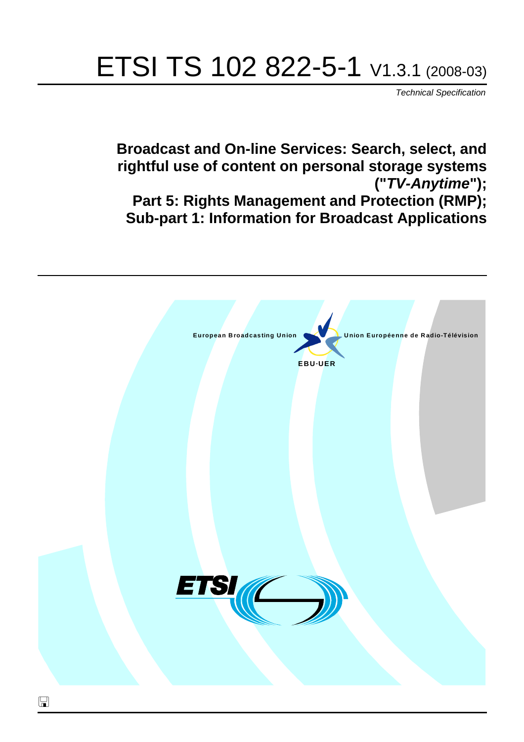# ETSI TS 102 822-5-1 V1.3.1 (2008-03)

*Technical Specification*

**Broadcast and On-line Services: Search, select, and rightful use of content on personal storage systems ("***TV-Anytime***"); Part 5: Rights Management and Protection (RMP); Sub-part 1: Information for Broadcast Applications**

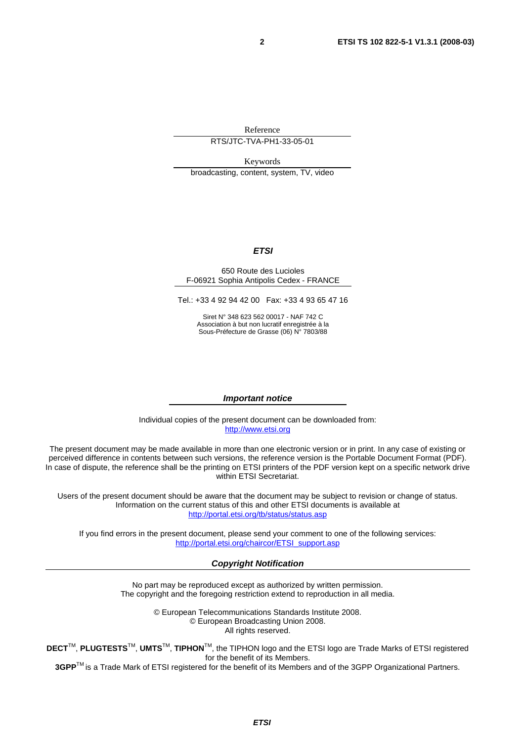Reference

RTS/JTC-TVA-PH1-33-05-01

Keywords broadcasting, content, system, TV, video

#### *ETSI*

#### 650 Route des Lucioles F-06921 Sophia Antipolis Cedex - FRANCE

Tel.: +33 4 92 94 42 00 Fax: +33 4 93 65 47 16

Siret N° 348 623 562 00017 - NAF 742 C Association à but non lucratif enregistrée à la Sous-Préfecture de Grasse (06) N° 7803/88

#### *Important notice*

Individual copies of the present document can be downloaded from: [http://www.etsi.org](http://www.etsi.org/)

The present document may be made available in more than one electronic version or in print. In any case of existing or perceived difference in contents between such versions, the reference version is the Portable Document Format (PDF). In case of dispute, the reference shall be the printing on ETSI printers of the PDF version kept on a specific network drive within ETSI Secretariat.

Users of the present document should be aware that the document may be subject to revision or change of status. Information on the current status of this and other ETSI documents is available at <http://portal.etsi.org/tb/status/status.asp>

If you find errors in the present document, please send your comment to one of the following services: [http://portal.etsi.org/chaircor/ETSI\\_support.asp](http://portal.etsi.org/chaircor/ETSI_support.asp)

#### *Copyright Notification*

No part may be reproduced except as authorized by written permission. The copyright and the foregoing restriction extend to reproduction in all media.

> © European Telecommunications Standards Institute 2008. © European Broadcasting Union 2008. All rights reserved.

**DECT**TM, **PLUGTESTS**TM, **UMTS**TM, **TIPHON**TM, the TIPHON logo and the ETSI logo are Trade Marks of ETSI registered for the benefit of its Members.

**3GPP**TM is a Trade Mark of ETSI registered for the benefit of its Members and of the 3GPP Organizational Partners.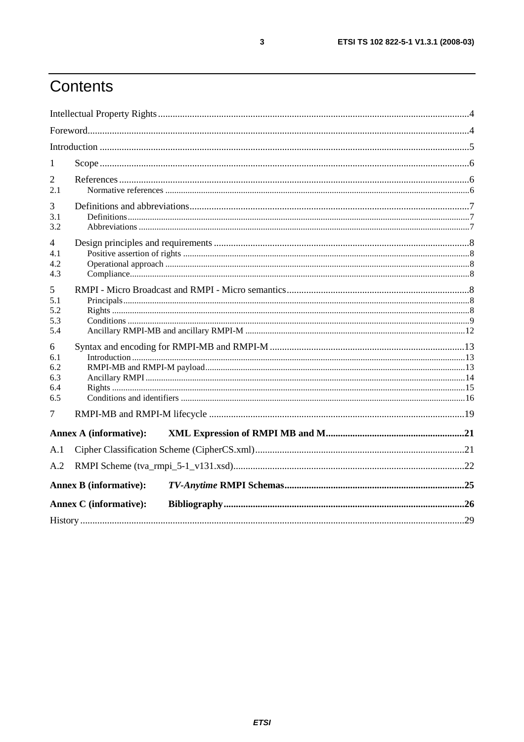## Contents

| 1                                    |                               |  |
|--------------------------------------|-------------------------------|--|
| 2<br>2.1                             |                               |  |
| 3<br>3.1<br>3.2                      |                               |  |
| 4<br>4.1<br>4.2<br>4.3               |                               |  |
| 5<br>5.1<br>5.2<br>5.3<br>5.4        |                               |  |
| 6<br>6.1<br>6.2<br>6.3<br>6.4<br>6.5 |                               |  |
| 7                                    |                               |  |
|                                      | <b>Annex A (informative):</b> |  |
| A.1                                  |                               |  |
| A.2                                  |                               |  |
|                                      | <b>Annex B</b> (informative): |  |
|                                      | <b>Annex C</b> (informative): |  |
|                                      |                               |  |

 $\mathbf{3}$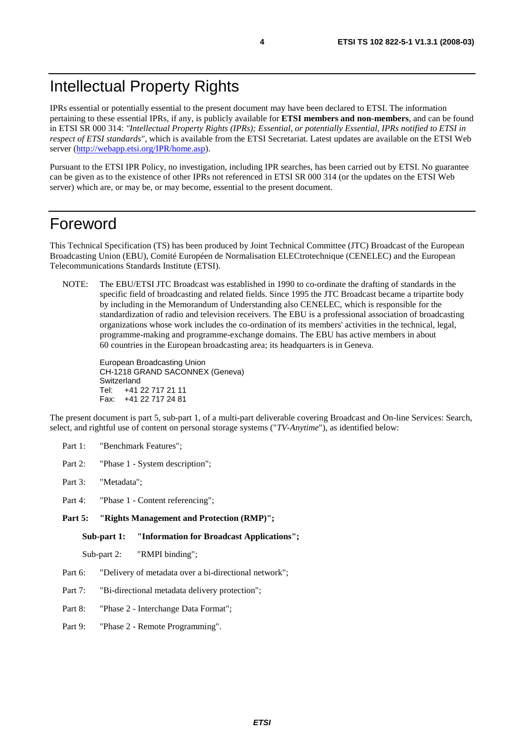### Intellectual Property Rights

IPRs essential or potentially essential to the present document may have been declared to ETSI. The information pertaining to these essential IPRs, if any, is publicly available for **ETSI members and non-members**, and can be found in ETSI SR 000 314: *"Intellectual Property Rights (IPRs); Essential, or potentially Essential, IPRs notified to ETSI in respect of ETSI standards"*, which is available from the ETSI Secretariat. Latest updates are available on the ETSI Web server ([http://webapp.etsi.org/IPR/home.asp\)](http://webapp.etsi.org/IPR/home.asp).

Pursuant to the ETSI IPR Policy, no investigation, including IPR searches, has been carried out by ETSI. No guarantee can be given as to the existence of other IPRs not referenced in ETSI SR 000 314 (or the updates on the ETSI Web server) which are, or may be, or may become, essential to the present document.

### Foreword

This Technical Specification (TS) has been produced by Joint Technical Committee (JTC) Broadcast of the European Broadcasting Union (EBU), Comité Européen de Normalisation ELECtrotechnique (CENELEC) and the European Telecommunications Standards Institute (ETSI).

NOTE: The EBU/ETSI JTC Broadcast was established in 1990 to co-ordinate the drafting of standards in the specific field of broadcasting and related fields. Since 1995 the JTC Broadcast became a tripartite body by including in the Memorandum of Understanding also CENELEC, which is responsible for the standardization of radio and television receivers. The EBU is a professional association of broadcasting organizations whose work includes the co-ordination of its members' activities in the technical, legal, programme-making and programme-exchange domains. The EBU has active members in about 60 countries in the European broadcasting area; its headquarters is in Geneva.

European Broadcasting Union CH-1218 GRAND SACONNEX (Geneva) Switzerland Tel: +41 22 717 21 11 Fax: +41 22 717 24 81

The present document is part 5, sub-part 1, of a multi-part deliverable covering Broadcast and On-line Services: Search, select, and rightful use of content on personal storage systems ("*TV-Anytime*"), as identified below:

- Part 1: "Benchmark Features";
- Part 2: "Phase 1 System description";
- Part 3: "Metadata";
- Part 4: "Phase 1 Content referencing":
- Part 5: "Rights Management and Protection (RMP)";

**Sub-part 1: "Information for Broadcast Applications";** 

Sub-part 2: "RMPI binding";

- Part 6: "Delivery of metadata over a bi-directional network";
- Part 7: "Bi-directional metadata delivery protection";
- Part 8: "Phase 2 Interchange Data Format";
- Part 9: "Phase 2 Remote Programming".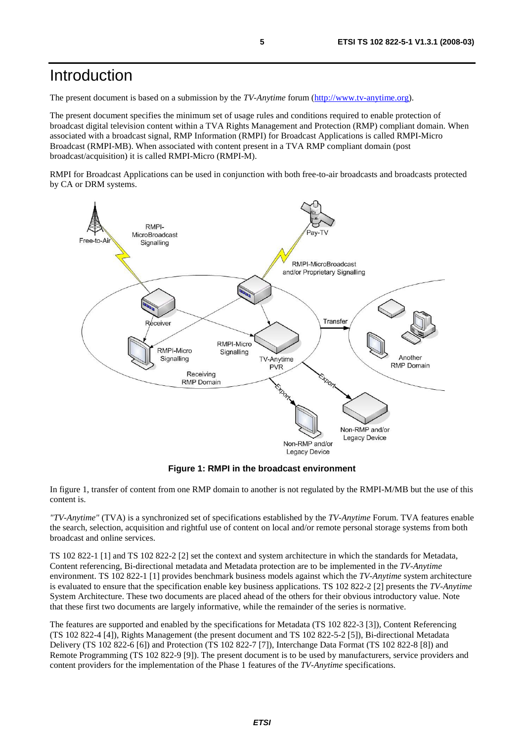### Introduction

The present document is based on a submission by the *TV-Anytime* forum ([http://www.tv-anytime.org](http://www.tv-anytime.org/)).

The present document specifies the minimum set of usage rules and conditions required to enable protection of broadcast digital television content within a TVA Rights Management and Protection (RMP) compliant domain. When associated with a broadcast signal, RMP Information (RMPI) for Broadcast Applications is called RMPI-Micro Broadcast (RMPI-MB). When associated with content present in a TVA RMP compliant domain (post broadcast/acquisition) it is called RMPI-Micro (RMPI-M).

RMPI for Broadcast Applications can be used in conjunction with both free-to-air broadcasts and broadcasts protected by CA or DRM systems.



**Figure 1: RMPI in the broadcast environment** 

In figure 1, transfer of content from one RMP domain to another is not regulated by the RMPI-M/MB but the use of this content is.

*"TV-Anytime"* (TVA) is a synchronized set of specifications established by the *TV-Anytime* Forum. TVA features enable the search, selection, acquisition and rightful use of content on local and/or remote personal storage systems from both broadcast and online services.

TS 102 822-1 [1] and TS 102 822-2 [2] set the context and system architecture in which the standards for Metadata, Content referencing, Bi-directional metadata and Metadata protection are to be implemented in the *TV-Anytime* environment. TS 102 822-1 [1] provides benchmark business models against which the *TV-Anytime* system architecture is evaluated to ensure that the specification enable key business applications. TS 102 822-2 [2] presents the *TV-Anytime* System Architecture. These two documents are placed ahead of the others for their obvious introductory value. Note that these first two documents are largely informative, while the remainder of the series is normative.

The features are supported and enabled by the specifications for Metadata (TS 102 822-3 [3]), Content Referencing (TS 102 822-4 [4]), Rights Management (the present document and TS 102 822-5-2 [5]), Bi-directional Metadata Delivery (TS 102 822-6 [6]) and Protection (TS 102 822-7 [7]), Interchange Data Format (TS 102 822-8 [8]) and Remote Programming (TS 102 822-9 [9]). The present document is to be used by manufacturers, service providers and content providers for the implementation of the Phase 1 features of the *TV-Anytime* specifications.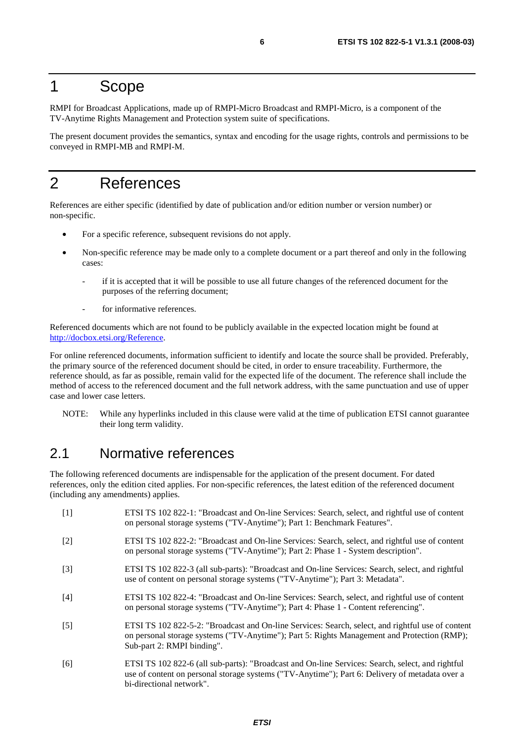### 1 Scope

RMPI for Broadcast Applications, made up of RMPI-Micro Broadcast and RMPI-Micro, is a component of the TV-Anytime Rights Management and Protection system suite of specifications.

The present document provides the semantics, syntax and encoding for the usage rights, controls and permissions to be conveyed in RMPI-MB and RMPI-M.

### 2 References

References are either specific (identified by date of publication and/or edition number or version number) or non-specific.

- For a specific reference, subsequent revisions do not apply.
- Non-specific reference may be made only to a complete document or a part thereof and only in the following cases:
	- if it is accepted that it will be possible to use all future changes of the referenced document for the purposes of the referring document;
	- for informative references.

Referenced documents which are not found to be publicly available in the expected location might be found at <http://docbox.etsi.org/Reference>.

For online referenced documents, information sufficient to identify and locate the source shall be provided. Preferably, the primary source of the referenced document should be cited, in order to ensure traceability. Furthermore, the reference should, as far as possible, remain valid for the expected life of the document. The reference shall include the method of access to the referenced document and the full network address, with the same punctuation and use of upper case and lower case letters.

NOTE: While any hyperlinks included in this clause were valid at the time of publication ETSI cannot guarantee their long term validity.

### 2.1 Normative references

The following referenced documents are indispensable for the application of the present document. For dated references, only the edition cited applies. For non-specific references, the latest edition of the referenced document (including any amendments) applies.

| $[1]$             | ETSI TS 102 822-1: "Broadcast and On-line Services: Search, select, and rightful use of content<br>on personal storage systems ("TV-Anytime"); Part 1: Benchmark Features".                                                    |
|-------------------|--------------------------------------------------------------------------------------------------------------------------------------------------------------------------------------------------------------------------------|
| $\lceil 2 \rceil$ | ETSI TS 102 822-2: "Broadcast and On-line Services: Search, select, and rightful use of content<br>on personal storage systems ("TV-Anytime"); Part 2: Phase 1 - System description".                                          |
| $\lceil 3 \rceil$ | ETSI TS 102 822-3 (all sub-parts): "Broadcast and On-line Services: Search, select, and rightful<br>use of content on personal storage systems ("TV-Anytime"); Part 3: Metadata".                                              |
| [4]               | ETSI TS 102 822-4: "Broadcast and On-line Services: Search, select, and rightful use of content<br>on personal storage systems ("TV-Anytime"); Part 4: Phase 1 - Content referencing".                                         |
| $\lceil 5 \rceil$ | ETSI TS 102 822-5-2: "Broadcast and On-line Services: Search, select, and rightful use of content<br>on personal storage systems ("TV-Anytime"); Part 5: Rights Management and Protection (RMP);<br>Sub-part 2: RMPI binding". |
| [6]               | ETSI TS 102 822-6 (all sub-parts): "Broadcast and On-line Services: Search, select, and rightful<br>use of content on personal storage systems ("TV-Anytime"); Part 6: Delivery of metadata over a<br>bi-directional network". |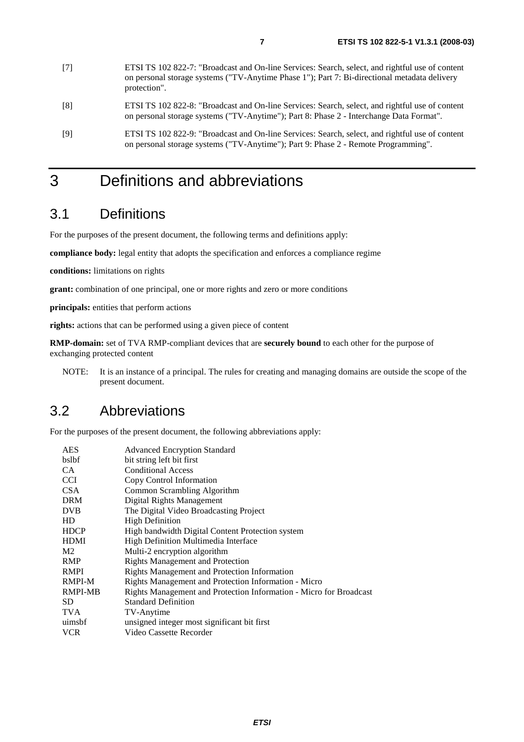- [7] ETSI TS 102 822-7: "Broadcast and On-line Services: Search, select, and rightful use of content on personal storage systems ("TV-Anytime Phase 1"); Part 7: Bi-directional metadata delivery protection".
- [8] ETSI TS 102 822-8: "Broadcast and On-line Services: Search, select, and rightful use of content on personal storage systems ("TV-Anytime"); Part 8: Phase 2 - Interchange Data Format".
- [9] ETSI TS 102 822-9: "Broadcast and On-line Services: Search, select, and rightful use of content on personal storage systems ("TV-Anytime"); Part 9: Phase 2 - Remote Programming".

## 3 Definitions and abbreviations

### 3.1 Definitions

For the purposes of the present document, the following terms and definitions apply:

**compliance body:** legal entity that adopts the specification and enforces a compliance regime

**conditions:** limitations on rights

**grant:** combination of one principal, one or more rights and zero or more conditions

**principals:** entities that perform actions

**rights:** actions that can be performed using a given piece of content

**RMP-domain:** set of TVA RMP-compliant devices that are **securely bound** to each other for the purpose of exchanging protected content

NOTE: It is an instance of a principal. The rules for creating and managing domains are outside the scope of the present document.

#### 3.2 Abbreviations

For the purposes of the present document, the following abbreviations apply:

| <b>AES</b>     | <b>Advanced Encryption Standard</b>                                |
|----------------|--------------------------------------------------------------------|
| bslbf          | bit string left bit first                                          |
| CA.            | <b>Conditional Access</b>                                          |
| <b>CCI</b>     | Copy Control Information                                           |
| CSA            | Common Scrambling Algorithm                                        |
| <b>DRM</b>     | Digital Rights Management                                          |
| <b>DVB</b>     | The Digital Video Broadcasting Project                             |
| HD             | <b>High Definition</b>                                             |
| <b>HDCP</b>    | High bandwidth Digital Content Protection system                   |
| <b>HDMI</b>    | High Definition Multimedia Interface                               |
| M <sub>2</sub> | Multi-2 encryption algorithm                                       |
| <b>RMP</b>     | <b>Rights Management and Protection</b>                            |
| <b>RMPI</b>    | Rights Management and Protection Information                       |
| RMPI-M         | Rights Management and Protection Information - Micro               |
| <b>RMPI-MB</b> | Rights Management and Protection Information - Micro for Broadcast |
| SD.            | <b>Standard Definition</b>                                         |
| <b>TVA</b>     | TV-Anytime                                                         |
| uimsbf         | unsigned integer most significant bit first                        |
| <b>VCR</b>     | Video Cassette Recorder                                            |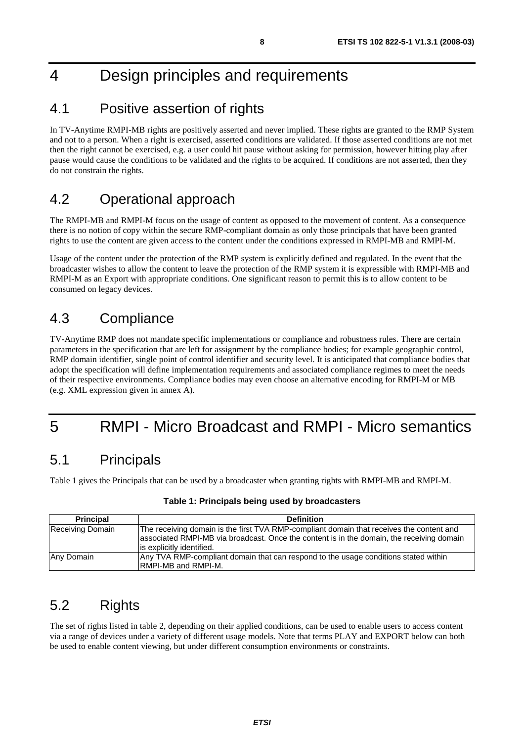## 4 Design principles and requirements

### 4.1 Positive assertion of rights

In TV-Anytime RMPI-MB rights are positively asserted and never implied. These rights are granted to the RMP System and not to a person. When a right is exercised, asserted conditions are validated. If those asserted conditions are not met then the right cannot be exercised, e.g. a user could hit pause without asking for permission, however hitting play after pause would cause the conditions to be validated and the rights to be acquired. If conditions are not asserted, then they do not constrain the rights.

### 4.2 Operational approach

The RMPI-MB and RMPI-M focus on the usage of content as opposed to the movement of content. As a consequence there is no notion of copy within the secure RMP-compliant domain as only those principals that have been granted rights to use the content are given access to the content under the conditions expressed in RMPI-MB and RMPI-M.

Usage of the content under the protection of the RMP system is explicitly defined and regulated. In the event that the broadcaster wishes to allow the content to leave the protection of the RMP system it is expressible with RMPI-MB and RMPI-M as an Export with appropriate conditions. One significant reason to permit this is to allow content to be consumed on legacy devices.

### 4.3 Compliance

TV-Anytime RMP does not mandate specific implementations or compliance and robustness rules. There are certain parameters in the specification that are left for assignment by the compliance bodies; for example geographic control, RMP domain identifier, single point of control identifier and security level. It is anticipated that compliance bodies that adopt the specification will define implementation requirements and associated compliance regimes to meet the needs of their respective environments. Compliance bodies may even choose an alternative encoding for RMPI-M or MB (e.g. XML expression given in annex A).

## 5 RMPI - Micro Broadcast and RMPI - Micro semantics

### 5.1 Principals

Table 1 gives the Principals that can be used by a broadcaster when granting rights with RMPI-MB and RMPI-M.

| <b>Principal</b> | <b>Definition</b>                                                                                                                                                                                                  |
|------------------|--------------------------------------------------------------------------------------------------------------------------------------------------------------------------------------------------------------------|
| Receiving Domain | The receiving domain is the first TVA RMP-compliant domain that receives the content and<br>associated RMPI-MB via broadcast. Once the content is in the domain, the receiving domain<br>is explicitly identified. |
| Any Domain       | Any TVA RMP-compliant domain that can respond to the usage conditions stated within<br><b>IRMPI-MB and RMPI-M.</b>                                                                                                 |

#### **Table 1: Principals being used by broadcasters**

### 5.2 Rights

The set of rights listed in table 2, depending on their applied conditions, can be used to enable users to access content via a range of devices under a variety of different usage models. Note that terms PLAY and EXPORT below can both be used to enable content viewing, but under different consumption environments or constraints.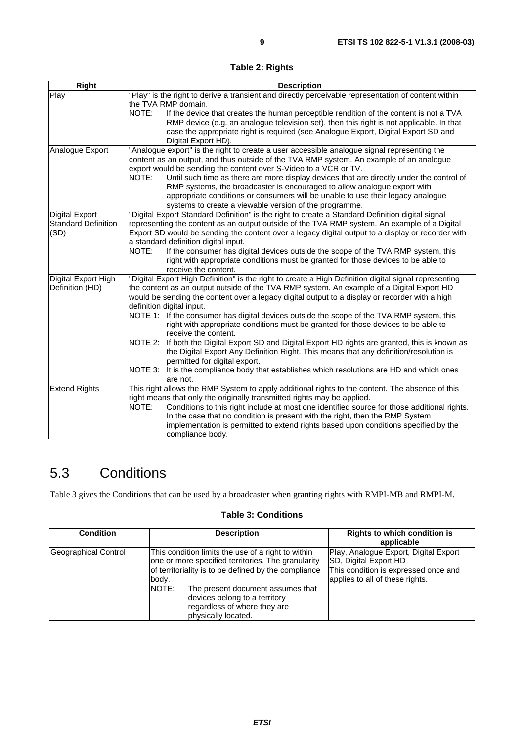**Table 2: Rights** 

| <b>Right</b>               | <b>Description</b>                                                                                                          |
|----------------------------|-----------------------------------------------------------------------------------------------------------------------------|
| Play                       | "Play" is the right to derive a transient and directly perceivable representation of content within                         |
|                            | the TVA RMP domain.                                                                                                         |
|                            | NOTE:<br>If the device that creates the human perceptible rendition of the content is not a TVA                             |
|                            | RMP device (e.g. an analogue television set), then this right is not applicable. In that                                    |
|                            | case the appropriate right is required (see Analogue Export, Digital Export SD and                                          |
|                            | Digital Export HD).                                                                                                         |
| Analogue Export            | "Analogue export" is the right to create a user accessible analogue signal representing the                                 |
|                            | content as an output, and thus outside of the TVA RMP system. An example of an analogue                                     |
|                            | export would be sending the content over S-Video to a VCR or TV.                                                            |
|                            | NOTE:<br>Until such time as there are more display devices that are directly under the control of                           |
|                            | RMP systems, the broadcaster is encouraged to allow analogue export with                                                    |
|                            | appropriate conditions or consumers will be unable to use their legacy analogue                                             |
|                            | systems to create a viewable version of the programme.                                                                      |
| <b>Digital Export</b>      | "Digital Export Standard Definition" is the right to create a Standard Definition digital signal                            |
| <b>Standard Definition</b> | representing the content as an output outside of the TVA RMP system. An example of a Digital                                |
| (SD)                       | Export SD would be sending the content over a legacy digital output to a display or recorder with                           |
|                            | a standard definition digital input.                                                                                        |
|                            | NOTE:<br>If the consumer has digital devices outside the scope of the TVA RMP system, this                                  |
|                            | right with appropriate conditions must be granted for those devices to be able to                                           |
|                            | receive the content.                                                                                                        |
| Digital Export High        | "Digital Export High Definition" is the right to create a High Definition digital signal representing                       |
| Definition (HD)            | the content as an output outside of the TVA RMP system. An example of a Digital Export HD                                   |
|                            | would be sending the content over a legacy digital output to a display or recorder with a high                              |
|                            | definition digital input.                                                                                                   |
|                            | NOTE 1: If the consumer has digital devices outside the scope of the TVA RMP system, this                                   |
|                            | right with appropriate conditions must be granted for those devices to be able to                                           |
|                            | receive the content.                                                                                                        |
|                            | NOTE 2:<br>If both the Digital Export SD and Digital Export HD rights are granted, this is known as                         |
|                            | the Digital Export Any Definition Right. This means that any definition/resolution is                                       |
|                            | permitted for digital export.<br>NOTE 3: It is the compliance body that establishes which resolutions are HD and which ones |
|                            | are not.                                                                                                                    |
| <b>Extend Rights</b>       | This right allows the RMP System to apply additional rights to the content. The absence of this                             |
|                            | right means that only the originally transmitted rights may be applied.                                                     |
|                            | NOTE:<br>Conditions to this right include at most one identified source for those additional rights.                        |
|                            | In the case that no condition is present with the right, then the RMP System                                                |
|                            | implementation is permitted to extend rights based upon conditions specified by the                                         |
|                            | compliance body.                                                                                                            |
|                            |                                                                                                                             |

## 5.3 Conditions

Table 3 gives the Conditions that can be used by a broadcaster when granting rights with RMPI-MB and RMPI-M.

#### **Table 3: Conditions**

| <b>Condition</b>     |                | <b>Description</b>                                                                                                                                                                                                                                                                            | <b>Rights to which condition is</b><br>applicable                                                                                         |
|----------------------|----------------|-----------------------------------------------------------------------------------------------------------------------------------------------------------------------------------------------------------------------------------------------------------------------------------------------|-------------------------------------------------------------------------------------------------------------------------------------------|
| Geographical Control | body.<br>NOTE: | This condition limits the use of a right to within<br>one or more specified territories. The granularity<br>of territoriality is to be defined by the compliance<br>The present document assumes that<br>devices belong to a territory<br>regardless of where they are<br>physically located. | Play, Analogue Export, Digital Export<br>SD, Digital Export HD<br>This condition is expressed once and<br>applies to all of these rights. |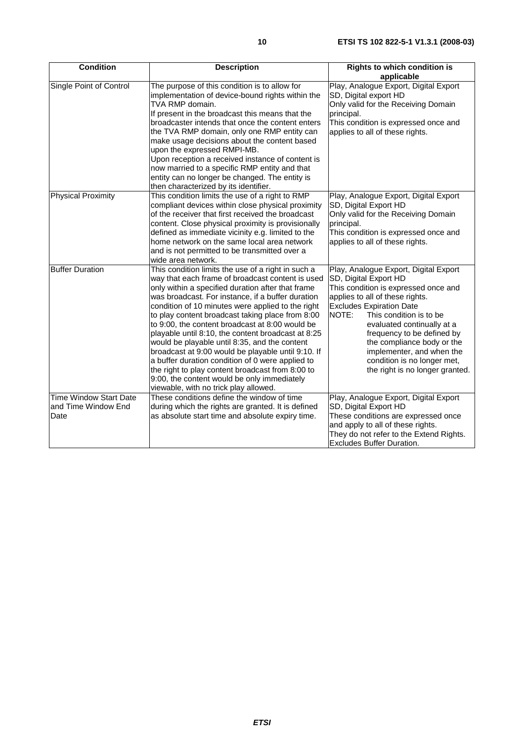| <b>Condition</b>                                             | <b>Description</b>                                                                                                                                                                                                                                                                                                                                                                                                                                                                                                                                                                                                                                                                                                                        | <b>Rights to which condition is</b><br>applicable                                                                                                                                                                                                                                                                                                                                                         |
|--------------------------------------------------------------|-------------------------------------------------------------------------------------------------------------------------------------------------------------------------------------------------------------------------------------------------------------------------------------------------------------------------------------------------------------------------------------------------------------------------------------------------------------------------------------------------------------------------------------------------------------------------------------------------------------------------------------------------------------------------------------------------------------------------------------------|-----------------------------------------------------------------------------------------------------------------------------------------------------------------------------------------------------------------------------------------------------------------------------------------------------------------------------------------------------------------------------------------------------------|
| Single Point of Control                                      | The purpose of this condition is to allow for<br>implementation of device-bound rights within the<br>TVA RMP domain.<br>If present in the broadcast this means that the<br>broadcaster intends that once the content enters<br>the TVA RMP domain, only one RMP entity can<br>make usage decisions about the content based<br>upon the expressed RMPI-MB.<br>Upon reception a received instance of content is<br>now married to a specific RMP entity and that<br>entity can no longer be changed. The entity is<br>then characterized by its identifier.                                                                                                                                                                                 | Play, Analogue Export, Digital Export<br>SD, Digital export HD<br>Only valid for the Receiving Domain<br>principal.<br>This condition is expressed once and<br>applies to all of these rights.                                                                                                                                                                                                            |
| <b>Physical Proximity</b>                                    | This condition limits the use of a right to RMP<br>compliant devices within close physical proximity<br>of the receiver that first received the broadcast<br>content. Close physical proximity is provisionally<br>defined as immediate vicinity e.g. limited to the<br>home network on the same local area network<br>and is not permitted to be transmitted over a<br>wide area network.                                                                                                                                                                                                                                                                                                                                                | Play, Analogue Export, Digital Export<br>SD, Digital Export HD<br>Only valid for the Receiving Domain<br>principal.<br>This condition is expressed once and<br>applies to all of these rights.                                                                                                                                                                                                            |
| <b>Buffer Duration</b>                                       | This condition limits the use of a right in such a<br>way that each frame of broadcast content is used<br>only within a specified duration after that frame<br>was broadcast. For instance, if a buffer duration<br>condition of 10 minutes were applied to the right<br>to play content broadcast taking place from 8:00<br>to 9:00, the content broadcast at 8:00 would be<br>playable until 8:10, the content broadcast at 8:25<br>would be playable until 8:35, and the content<br>broadcast at 9:00 would be playable until 9:10. If<br>a buffer duration condition of 0 were applied to<br>the right to play content broadcast from 8:00 to<br>9:00, the content would be only immediately<br>viewable, with no trick play allowed. | Play, Analogue Export, Digital Export<br>SD, Digital Export HD<br>This condition is expressed once and<br>applies to all of these rights.<br><b>Excludes Expiration Date</b><br>NOTE:<br>This condition is to be<br>evaluated continually at a<br>frequency to be defined by<br>the compliance body or the<br>implementer, and when the<br>condition is no longer met,<br>the right is no longer granted. |
| <b>Time Window Start Date</b><br>and Time Window End<br>Date | These conditions define the window of time<br>during which the rights are granted. It is defined<br>as absolute start time and absolute expiry time.                                                                                                                                                                                                                                                                                                                                                                                                                                                                                                                                                                                      | Play, Analogue Export, Digital Export<br>SD, Digital Export HD<br>These conditions are expressed once<br>and apply to all of these rights.<br>They do not refer to the Extend Rights.<br>Excludes Buffer Duration.                                                                                                                                                                                        |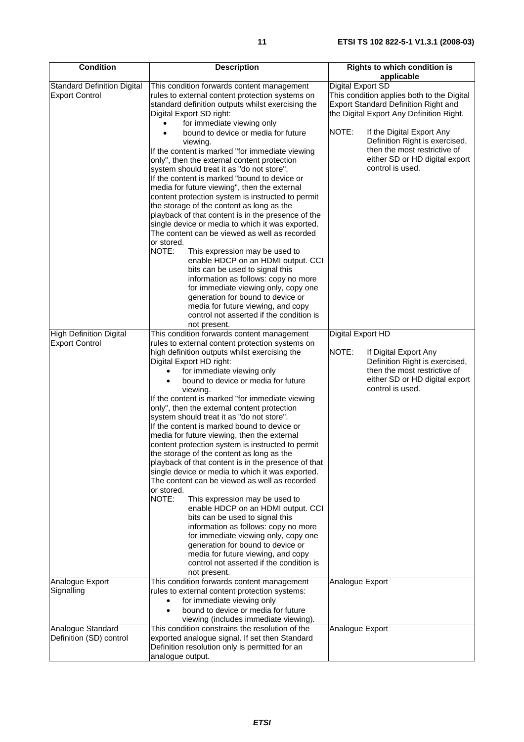| <b>Condition</b>                                            | <b>Description</b>                                                                                                                                                                                                                                                                                                                                                                                                                                                                                                                                                                                                                                                                                                                                                                                                                                                                                                                                                                                                                                                                                                                   | <b>Rights to which condition is</b>                                                                                                                                                                                                                                                                                             |
|-------------------------------------------------------------|--------------------------------------------------------------------------------------------------------------------------------------------------------------------------------------------------------------------------------------------------------------------------------------------------------------------------------------------------------------------------------------------------------------------------------------------------------------------------------------------------------------------------------------------------------------------------------------------------------------------------------------------------------------------------------------------------------------------------------------------------------------------------------------------------------------------------------------------------------------------------------------------------------------------------------------------------------------------------------------------------------------------------------------------------------------------------------------------------------------------------------------|---------------------------------------------------------------------------------------------------------------------------------------------------------------------------------------------------------------------------------------------------------------------------------------------------------------------------------|
| <b>Standard Definition Digital</b><br><b>Export Control</b> | This condition forwards content management<br>rules to external content protection systems on<br>standard definition outputs whilst exercising the<br>Digital Export SD right:<br>for immediate viewing only<br>bound to device or media for future<br>viewing.<br>If the content is marked "for immediate viewing<br>only", then the external content protection<br>system should treat it as "do not store".<br>If the content is marked "bound to device or<br>media for future viewing", then the external<br>content protection system is instructed to permit<br>the storage of the content as long as the<br>playback of that content is in the presence of the<br>single device or media to which it was exported.<br>The content can be viewed as well as recorded<br>or stored.<br>NOTE:<br>This expression may be used to<br>enable HDCP on an HDMI output. CCI<br>bits can be used to signal this<br>information as follows: copy no more<br>for immediate viewing only, copy one<br>generation for bound to device or<br>media for future viewing, and copy<br>control not asserted if the condition is<br>not present. | applicable<br>Digital Export SD<br>This condition applies both to the Digital<br>Export Standard Definition Right and<br>the Digital Export Any Definition Right.<br>NOTE:<br>If the Digital Export Any<br>Definition Right is exercised,<br>then the most restrictive of<br>either SD or HD digital export<br>control is used. |
| <b>High Definition Digital</b><br><b>Export Control</b>     | This condition forwards content management                                                                                                                                                                                                                                                                                                                                                                                                                                                                                                                                                                                                                                                                                                                                                                                                                                                                                                                                                                                                                                                                                           | Digital Export HD                                                                                                                                                                                                                                                                                                               |
|                                                             | rules to external content protection systems on<br>high definition outputs whilst exercising the<br>Digital Export HD right:<br>for immediate viewing only<br>bound to device or media for future<br>viewing.<br>If the content is marked "for immediate viewing<br>only", then the external content protection<br>system should treat it as "do not store".<br>If the content is marked bound to device or<br>media for future viewing, then the external<br>content protection system is instructed to permit<br>the storage of the content as long as the<br>playback of that content is in the presence of that<br>single device or media to which it was exported.<br>The content can be viewed as well as recorded<br>or stored.<br>NOTE:<br>This expression may be used to<br>enable HDCP on an HDMI output. CCI<br>bits can be used to signal this<br>information as follows: copy no more<br>for immediate viewing only, copy one<br>generation for bound to device or<br>media for future viewing, and copy<br>control not asserted if the condition is<br>not present.                                                    | NOTE:<br>If Digital Export Any<br>Definition Right is exercised,<br>then the most restrictive of<br>either SD or HD digital export<br>control is used.                                                                                                                                                                          |
| Analogue Export<br>Signalling                               | This condition forwards content management<br>rules to external content protection systems:                                                                                                                                                                                                                                                                                                                                                                                                                                                                                                                                                                                                                                                                                                                                                                                                                                                                                                                                                                                                                                          | Analogue Export                                                                                                                                                                                                                                                                                                                 |
|                                                             | for immediate viewing only<br>$\bullet$<br>bound to device or media for future<br>$\bullet$<br>viewing (includes immediate viewing).                                                                                                                                                                                                                                                                                                                                                                                                                                                                                                                                                                                                                                                                                                                                                                                                                                                                                                                                                                                                 |                                                                                                                                                                                                                                                                                                                                 |
| Analogue Standard<br>Definition (SD) control                | This condition constrains the resolution of the<br>exported analogue signal. If set then Standard<br>Definition resolution only is permitted for an<br>analogue output.                                                                                                                                                                                                                                                                                                                                                                                                                                                                                                                                                                                                                                                                                                                                                                                                                                                                                                                                                              | Analogue Export                                                                                                                                                                                                                                                                                                                 |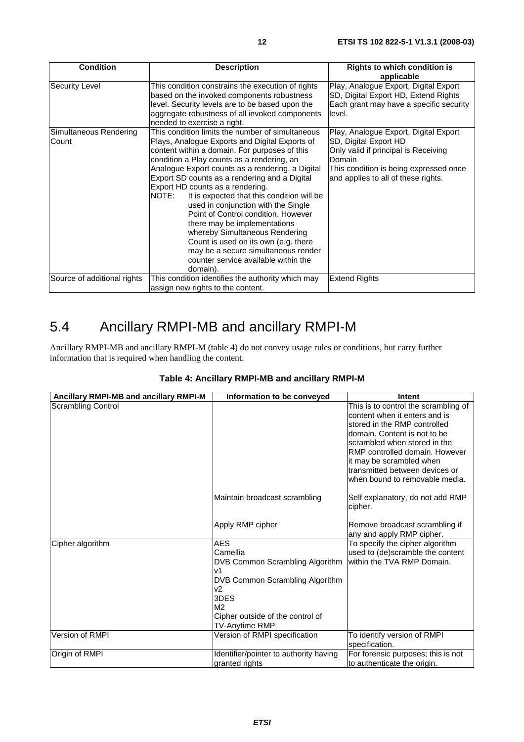| <b>Condition</b>                | <b>Description</b>                                                                                                                                                                                                                                                                                                                                                                                                                                                                                                                                                                                                                                                                   | Rights to which condition is<br>applicable                                                                                                                                                        |
|---------------------------------|--------------------------------------------------------------------------------------------------------------------------------------------------------------------------------------------------------------------------------------------------------------------------------------------------------------------------------------------------------------------------------------------------------------------------------------------------------------------------------------------------------------------------------------------------------------------------------------------------------------------------------------------------------------------------------------|---------------------------------------------------------------------------------------------------------------------------------------------------------------------------------------------------|
| <b>Security Level</b>           | This condition constrains the execution of rights<br>based on the invoked components robustness<br>level. Security levels are to be based upon the<br>aggregate robustness of all invoked components<br>needed to exercise a right.                                                                                                                                                                                                                                                                                                                                                                                                                                                  | Play, Analogue Export, Digital Export<br>SD, Digital Export HD, Extend Rights<br>Each grant may have a specific security<br>level.                                                                |
| Simultaneous Rendering<br>Count | This condition limits the number of simultaneous<br>Plays, Analogue Exports and Digital Exports of<br>content within a domain. For purposes of this<br>condition a Play counts as a rendering, an<br>Analogue Export counts as a rendering, a Digital<br>Export SD counts as a rendering and a Digital<br>Export HD counts as a rendering.<br>NOTE:<br>It is expected that this condition will be<br>used in conjunction with the Single<br>Point of Control condition. However<br>there may be implementations<br>whereby Simultaneous Rendering<br>Count is used on its own (e.g. there<br>may be a secure simultaneous render<br>counter service available within the<br>domain). | Play, Analogue Export, Digital Export<br>SD, Digital Export HD<br>Only valid if principal is Receiving<br>Domain<br>This condition is being expressed once<br>and applies to all of these rights. |
| Source of additional rights     | This condition identifies the authority which may<br>assign new rights to the content.                                                                                                                                                                                                                                                                                                                                                                                                                                                                                                                                                                                               | <b>Extend Rights</b>                                                                                                                                                                              |

## 5.4 Ancillary RMPI-MB and ancillary RMPI-M

Ancillary RMPI-MB and ancillary RMPI-M (table 4) do not convey usage rules or conditions, but carry further information that is required when handling the content.

| Ancillary RMPI-MB and ancillary RMPI-M | Information to be conveyed             | Intent                                      |
|----------------------------------------|----------------------------------------|---------------------------------------------|
| <b>Scrambling Control</b>              |                                        | This is to control the scrambling of        |
|                                        |                                        | content when it enters and is               |
|                                        |                                        | stored in the RMP controlled                |
|                                        |                                        | domain. Content is not to be                |
|                                        |                                        | scrambled when stored in the                |
|                                        |                                        | RMP controlled domain. However              |
|                                        |                                        | it may be scrambled when                    |
|                                        |                                        | transmitted between devices or              |
|                                        |                                        | when bound to removable media.              |
|                                        | Maintain broadcast scrambling          | Self explanatory, do not add RMP<br>cipher. |
|                                        | Apply RMP cipher                       | Remove broadcast scrambling if              |
|                                        |                                        | any and apply RMP cipher.                   |
| Cipher algorithm                       | <b>AES</b>                             | To specify the cipher algorithm             |
|                                        | Camellia                               | used to (de)scramble the content            |
|                                        | DVB Common Scrambling Algorithm        | within the TVA RMP Domain.                  |
|                                        | v1                                     |                                             |
|                                        | DVB Common Scrambling Algorithm        |                                             |
|                                        | v2                                     |                                             |
|                                        | 3DES                                   |                                             |
|                                        | M <sub>2</sub>                         |                                             |
|                                        | Cipher outside of the control of       |                                             |
|                                        | TV-Anytime RMP                         |                                             |
| Version of RMPI                        | Version of RMPI specification          | To identify version of RMPI                 |
|                                        |                                        | specification.                              |
| Origin of RMPI                         | Identifier/pointer to authority having | For forensic purposes; this is not          |
|                                        | granted rights                         | to authenticate the origin.                 |

#### **Table 4: Ancillary RMPI-MB and ancillary RMPI-M**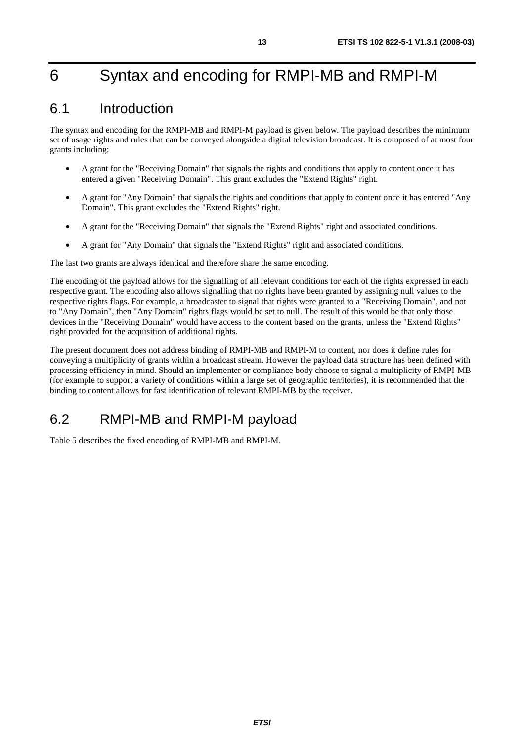## 6 Syntax and encoding for RMPI-MB and RMPI-M

### 6.1 Introduction

The syntax and encoding for the RMPI-MB and RMPI-M payload is given below. The payload describes the minimum set of usage rights and rules that can be conveyed alongside a digital television broadcast. It is composed of at most four grants including:

- A grant for the "Receiving Domain" that signals the rights and conditions that apply to content once it has entered a given "Receiving Domain". This grant excludes the "Extend Rights" right.
- A grant for "Any Domain" that signals the rights and conditions that apply to content once it has entered "Any Domain". This grant excludes the "Extend Rights" right.
- A grant for the "Receiving Domain" that signals the "Extend Rights" right and associated conditions.
- A grant for "Any Domain" that signals the "Extend Rights" right and associated conditions.

The last two grants are always identical and therefore share the same encoding.

The encoding of the payload allows for the signalling of all relevant conditions for each of the rights expressed in each respective grant. The encoding also allows signalling that no rights have been granted by assigning null values to the respective rights flags. For example, a broadcaster to signal that rights were granted to a "Receiving Domain", and not to "Any Domain", then "Any Domain" rights flags would be set to null. The result of this would be that only those devices in the "Receiving Domain" would have access to the content based on the grants, unless the "Extend Rights" right provided for the acquisition of additional rights.

The present document does not address binding of RMPI-MB and RMPI-M to content, nor does it define rules for conveying a multiplicity of grants within a broadcast stream. However the payload data structure has been defined with processing efficiency in mind. Should an implementer or compliance body choose to signal a multiplicity of RMPI-MB (for example to support a variety of conditions within a large set of geographic territories), it is recommended that the binding to content allows for fast identification of relevant RMPI-MB by the receiver.

## 6.2 RMPI-MB and RMPI-M payload

Table 5 describes the fixed encoding of RMPI-MB and RMPI-M.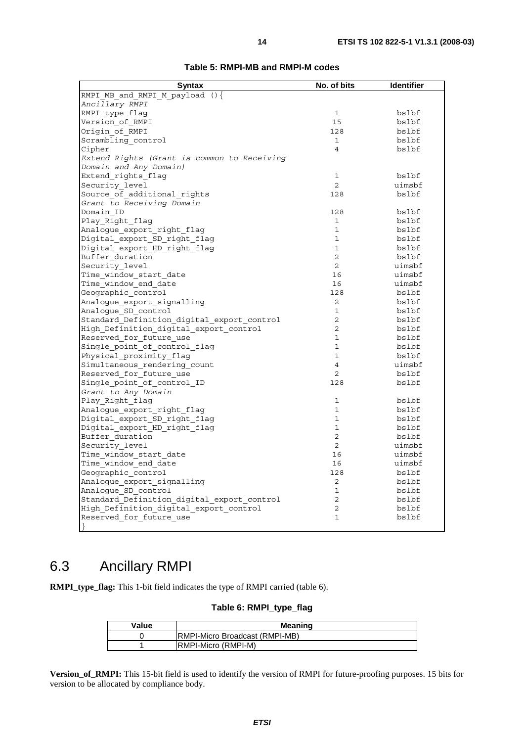| <b>Syntax</b>                               | No. of bits    | <b>Identifier</b> |
|---------------------------------------------|----------------|-------------------|
| RMPI MB and RMPI M payload $()$             |                |                   |
| Ancillary RMPI                              |                |                   |
| RMPI type flaq                              | 1              | bslbf             |
| Version of RMPI                             | 15             | bslbf             |
| Origin of RMPI                              | 128            | bslbf             |
| Scrambling_control                          | $\mathbf{1}$   | bslbf             |
| Cipher                                      | $\overline{4}$ | bslbf             |
| Extend Rights (Grant is common to Receiving |                |                   |
| Domain and Any Domain)                      |                |                   |
| Extend rights flag                          | 1              | bslbf             |
| Security level                              | $\overline{2}$ | uimsbf            |
| Source_of_additional_rights                 | 128            | bslbf             |
| Grant to Receiving Domain                   |                |                   |
| Domain ID                                   | 128            | bslbf             |
| Play_Right_flag                             | $\mathbf{1}$   | bslbf             |
| Analogue export right flag                  | $\mathbf{1}$   | bslbf             |
| Digital_export_SD_right_flag                | $\mathbf{1}$   | bslbf             |
| Digital export HD right flag                | $\mathbf 1$    | bslbf             |
| Buffer duration                             | $\overline{2}$ | bslbf             |
| Security_level                              | $\overline{a}$ | uimsbf            |
| Time window start date                      | 16             | uimsbf            |
| Time window end date                        | 16             | uimsbf            |
| Geographic control                          | 128            | bslbf             |
| Analogue export signalling                  | $\overline{2}$ | bslbf             |
| Analoque SD control                         | $\mathbf{1}$   | bslbf             |
| Standard Definition digital export control  | $\overline{2}$ | bslbf             |
| High Definition digital export control      | 2              | bslbf             |
| Reserved for future use                     | $\mathbf{1}$   | bslbf             |
| Single point of control flag                | $\mathbf{1}$   | bslbf             |
| Physical proximity flag                     | $\mathbf{1}$   | bslbf             |
|                                             | $\overline{4}$ | uimsbf            |
| Simultaneous rendering count                |                |                   |
| Reserved for future use                     | $\overline{2}$ | bslbf             |
| Single_point_of_control_ID                  | 128            | bslbf             |
| Grant to Any Domain                         |                |                   |
| Play_Right_flag                             | $\mathbf{1}$   | bslbf             |
| Analogue export right flag                  | $\mathbf{1}$   | bslbf             |
| Digital export SD right flag                | $\mathbf{1}$   | bslbf             |
| Digital_export_HD_right_flag                | $\mathbf{1}$   | bslbf             |
| Buffer duration                             | $\overline{a}$ | bslbf             |
| Security level                              | $\overline{2}$ | uimsbf            |
| Time window start date                      | 16             | uimsbf            |
| Time window end date                        | 16             | uimsbf            |
| Geographic control                          | 128            | bslbf             |
| Analogue export signalling                  | $\overline{a}$ | bslbf             |
| Analogue SD control                         | 1              | bslbf             |
| Standard Definition digital export control  | 2              | bslbf             |
| High Definition digital export control      | $\overline{2}$ | bslbf             |
| Reserved for future use                     | 1              | bslbf             |
|                                             |                |                   |

#### **Table 5: RMPI-MB and RMPI-M codes**

## 6.3 Ancillary RMPI

**RMPI\_type\_flag:** This 1-bit field indicates the type of RMPI carried (table 6).

#### **Table 6: RMPI\_type\_flag**

| Value | <b>Meaning</b>                         |  |
|-------|----------------------------------------|--|
|       | <b>IRMPI-Micro Broadcast (RMPI-MB)</b> |  |
|       | <b>RMPI-Micro (RMPI-M)</b>             |  |

**Version\_of\_RMPI:** This 15-bit field is used to identify the version of RMPI for future-proofing purposes. 15 bits for version to be allocated by compliance body.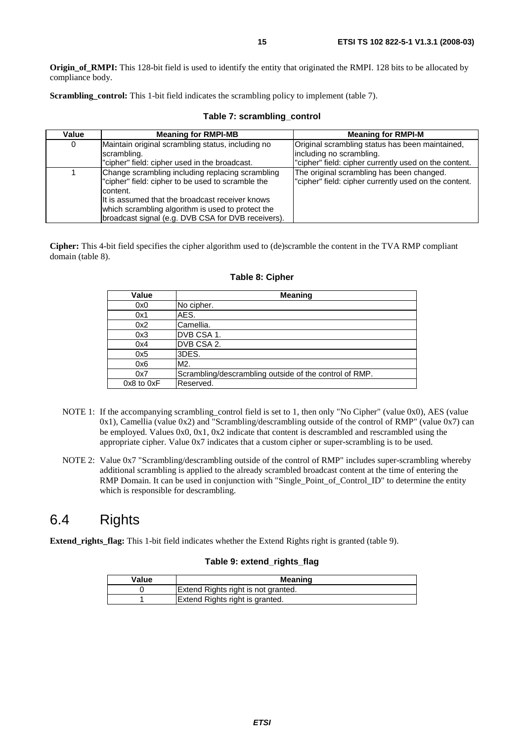**Origin of RMPI:** This 128-bit field is used to identify the entity that originated the RMPI. 128 bits to be allocated by compliance body.

**Scrambling\_control:** This 1-bit field indicates the scrambling policy to implement (table 7).

| Value | <b>Meaning for RMPI-MB</b>                                                                                                                                                                                                                                                      | <b>Meaning for RMPI-M</b>                                                                                                             |
|-------|---------------------------------------------------------------------------------------------------------------------------------------------------------------------------------------------------------------------------------------------------------------------------------|---------------------------------------------------------------------------------------------------------------------------------------|
| 0     | Maintain original scrambling status, including no<br>scrambling.<br>"cipher" field: cipher used in the broadcast.                                                                                                                                                               | Original scrambling status has been maintained,<br>lincluding no scrambling.<br>"cipher" field: cipher currently used on the content. |
|       | Change scrambling including replacing scrambling<br>"cipher" field: cipher to be used to scramble the<br>content.<br>It is assumed that the broadcast receiver knows<br>which scrambling algorithm is used to protect the<br>broadcast signal (e.g. DVB CSA for DVB receivers). | The original scrambling has been changed.<br>"cipher" field: cipher currently used on the content.                                    |

#### **Table 7: scrambling\_control**

**Cipher:** This 4-bit field specifies the cipher algorithm used to (de)scramble the content in the TVA RMP compliant domain (table 8).

| Value          | <b>Meaning</b>                                         |
|----------------|--------------------------------------------------------|
| 0x0            | No cipher.                                             |
| 0x1            | AES.                                                   |
| 0x2            | Camellia.                                              |
| 0x3            | IDVB CSA 1.                                            |
| 0x4            | DVB CSA 2.                                             |
| 0x5            | 3DES.                                                  |
| 0x6            | M2.                                                    |
| 0x7            | Scrambling/descrambling outside of the control of RMP. |
| $0x8$ to $0xF$ | Reserved.                                              |

#### **Table 8: Cipher**

- NOTE 1: If the accompanying scrambling\_control field is set to 1, then only "No Cipher" (value 0x0), AES (value 0x1), Camellia (value 0x2) and "Scrambling/descrambling outside of the control of RMP" (value 0x7) can be employed. Values 0x0, 0x1, 0x2 indicate that content is descrambled and rescrambled using the appropriate cipher. Value 0x7 indicates that a custom cipher or super-scrambling is to be used.
- NOTE 2: Value 0x7 "Scrambling/descrambling outside of the control of RMP" includes super-scrambling whereby additional scrambling is applied to the already scrambled broadcast content at the time of entering the RMP Domain. It can be used in conjunction with "Single\_Point\_of\_Control\_ID" to determine the entity which is responsible for descrambling.

### 6.4 Rights

**Extend\_rights\_flag:** This 1-bit field indicates whether the Extend Rights right is granted (table 9).

#### **Table 9: extend\_rights\_flag**

| Value | <b>Meaning</b>                      |
|-------|-------------------------------------|
|       | Extend Rights right is not granted. |
|       | Extend Rights right is granted.     |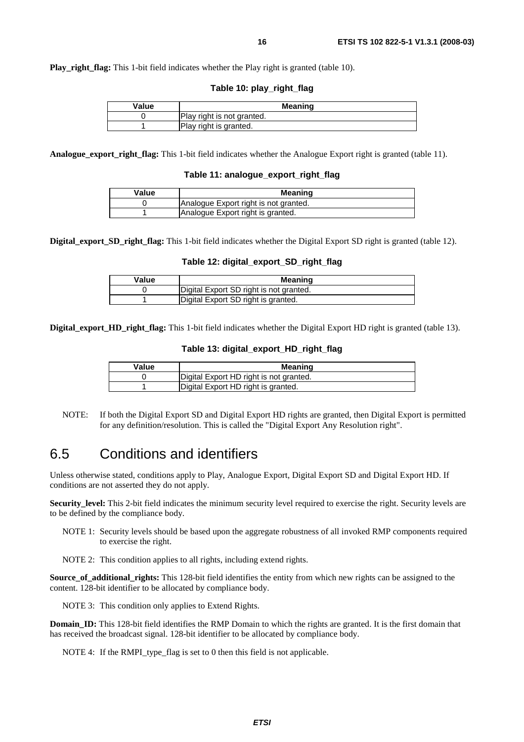**Table 10: play\_right\_flag** 

| Value | <b>Meaning</b>             |
|-------|----------------------------|
|       | Play right is not granted. |
|       | Play right is granted.     |

**Analogue\_export\_right\_flag:** This 1-bit field indicates whether the Analogue Export right is granted (table 11).

**Table 11: analogue\_export\_right\_flag**

| Value | Meaning                               |
|-------|---------------------------------------|
|       | Analogue Export right is not granted. |
|       | Analogue Export right is granted.     |

**Digital\_export\_SD\_right\_flag:** This 1-bit field indicates whether the Digital Export SD right is granted (table 12).

#### **Table 12: digital\_export\_SD\_right\_flag**

| Value | Meaning                                 |
|-------|-----------------------------------------|
|       | Digital Export SD right is not granted. |
|       | Digital Export SD right is granted.     |

**Digital\_export\_HD\_right\_flag:** This 1-bit field indicates whether the Digital Export HD right is granted (table 13).

#### **Table 13: digital\_export\_HD\_right\_flag**

| Value | Meaning                                 |
|-------|-----------------------------------------|
|       | Digital Export HD right is not granted. |
|       | Digital Export HD right is granted.     |

NOTE: If both the Digital Export SD and Digital Export HD rights are granted, then Digital Export is permitted for any definition/resolution. This is called the "Digital Export Any Resolution right".

### 6.5 Conditions and identifiers

Unless otherwise stated, conditions apply to Play, Analogue Export, Digital Export SD and Digital Export HD. If conditions are not asserted they do not apply.

**Security\_level:** This 2-bit field indicates the minimum security level required to exercise the right. Security levels are to be defined by the compliance body.

NOTE 1: Security levels should be based upon the aggregate robustness of all invoked RMP components required to exercise the right.

NOTE 2: This condition applies to all rights, including extend rights.

**Source\_of\_additional\_rights:** This 128-bit field identifies the entity from which new rights can be assigned to the content. 128-bit identifier to be allocated by compliance body.

NOTE 3: This condition only applies to Extend Rights.

**Domain\_ID:** This 128-bit field identifies the RMP Domain to which the rights are granted. It is the first domain that has received the broadcast signal. 128-bit identifier to be allocated by compliance body.

NOTE 4: If the RMPI type flag is set to 0 then this field is not applicable.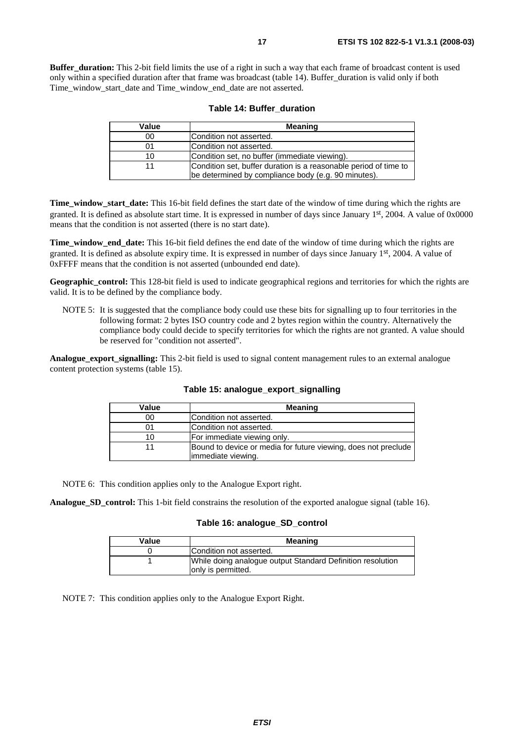**Buffer duration:** This 2-bit field limits the use of a right in such a way that each frame of broadcast content is used only within a specified duration after that frame was broadcast (table 14). Buffer\_duration is valid only if both Time\_window\_start\_date and Time\_window\_end\_date are not asserted.

| Value | <b>Meaning</b>                                                                                                          |
|-------|-------------------------------------------------------------------------------------------------------------------------|
| 00    | lCondition not asserted.                                                                                                |
| 01    | Condition not asserted.                                                                                                 |
| 10    | Condition set, no buffer (immediate viewing).                                                                           |
|       | Condition set, buffer duration is a reasonable period of time to<br>be determined by compliance body (e.g. 90 minutes). |

|  |  |  | Table 14: Buffer duration |
|--|--|--|---------------------------|
|--|--|--|---------------------------|

**Time\_window\_start\_date:** This 16-bit field defines the start date of the window of time during which the rights are granted. It is defined as absolute start time. It is expressed in number of days since January 1st, 2004. A value of 0x0000 means that the condition is not asserted (there is no start date).

**Time\_window\_end\_date:** This 16-bit field defines the end date of the window of time during which the rights are granted. It is defined as absolute expiry time. It is expressed in number of days since January 1st, 2004. A value of 0xFFFF means that the condition is not asserted (unbounded end date).

**Geographic\_control:** This 128-bit field is used to indicate geographical regions and territories for which the rights are valid. It is to be defined by the compliance body.

NOTE 5: It is suggested that the compliance body could use these bits for signalling up to four territories in the following format: 2 bytes ISO country code and 2 bytes region within the country. Alternatively the compliance body could decide to specify territories for which the rights are not granted. A value should be reserved for "condition not asserted".

**Analogue\_export\_signalling:** This 2-bit field is used to signal content management rules to an external analogue content protection systems (table 15).

| Value | <b>Meaning</b>                                                 |
|-------|----------------------------------------------------------------|
| 00    | Condition not asserted.                                        |
|       | Condition not asserted.                                        |
| 10    | For immediate viewing only.                                    |
| 11    | Bound to device or media for future viewing, does not preclude |
|       | immediate viewing.                                             |

**Table 15: analogue\_export\_signalling**

NOTE 6: This condition applies only to the Analogue Export right.

**Analogue\_SD\_control:** This 1-bit field constrains the resolution of the exported analogue signal (table 16).

#### **Table 16: analogue\_SD\_control**

| Value | <b>Meaning</b>                                                                    |
|-------|-----------------------------------------------------------------------------------|
|       | Condition not asserted.                                                           |
|       | While doing analogue output Standard Definition resolution<br>lonly is permitted. |

NOTE 7: This condition applies only to the Analogue Export Right.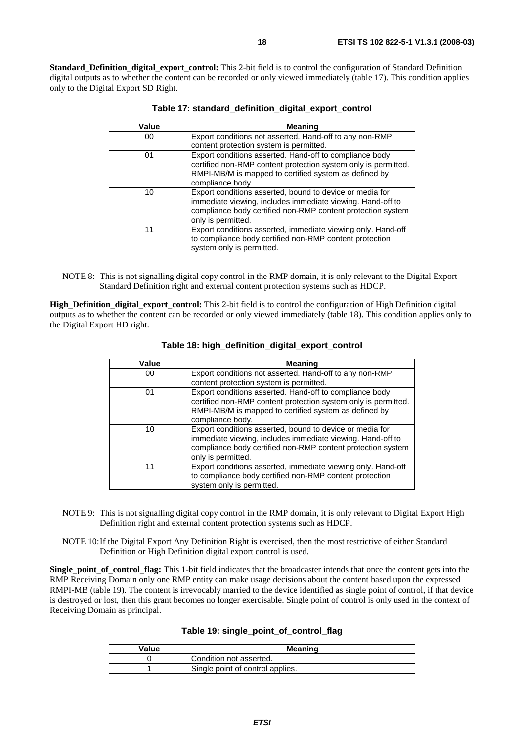**Standard Definition digital export control:** This 2-bit field is to control the configuration of Standard Definition digital outputs as to whether the content can be recorded or only viewed immediately (table 17). This condition applies only to the Digital Export SD Right.

| Value | <b>Meaning</b>                                                                                                                                                                                              |
|-------|-------------------------------------------------------------------------------------------------------------------------------------------------------------------------------------------------------------|
| 00    | Export conditions not asserted. Hand-off to any non-RMP<br>content protection system is permitted.                                                                                                          |
| 01    | Export conditions asserted. Hand-off to compliance body<br>certified non-RMP content protection system only is permitted.<br>RMPI-MB/M is mapped to certified system as defined by<br>compliance body.      |
| 10    | Export conditions asserted, bound to device or media for<br>immediate viewing, includes immediate viewing. Hand-off to<br>compliance body certified non-RMP content protection system<br>only is permitted. |
| 11    | Export conditions asserted, immediate viewing only. Hand-off<br>to compliance body certified non-RMP content protection<br>system only is permitted.                                                        |

| Table 17: standard_definition_digital_export_control |  |  |  |  |
|------------------------------------------------------|--|--|--|--|
|------------------------------------------------------|--|--|--|--|

NOTE 8: This is not signalling digital copy control in the RMP domain, it is only relevant to the Digital Export Standard Definition right and external content protection systems such as HDCP.

**High Definition digital export control:** This 2-bit field is to control the configuration of High Definition digital outputs as to whether the content can be recorded or only viewed immediately (table 18). This condition applies only to the Digital Export HD right.

| Value | <b>Meaning</b>                                                                                                                                                                                              |
|-------|-------------------------------------------------------------------------------------------------------------------------------------------------------------------------------------------------------------|
| 00    | Export conditions not asserted. Hand-off to any non-RMP<br>content protection system is permitted.                                                                                                          |
| 01    | Export conditions asserted. Hand-off to compliance body<br>certified non-RMP content protection system only is permitted.<br>RMPI-MB/M is mapped to certified system as defined by<br>compliance body.      |
| 10    | Export conditions asserted, bound to device or media for<br>immediate viewing, includes immediate viewing. Hand-off to<br>compliance body certified non-RMP content protection system<br>only is permitted. |
| 11    | Export conditions asserted, immediate viewing only. Hand-off<br>to compliance body certified non-RMP content protection<br>system only is permitted.                                                        |

**Table 18: high\_definition\_digital\_export\_control**

- NOTE 9: This is not signalling digital copy control in the RMP domain, it is only relevant to Digital Export High Definition right and external content protection systems such as HDCP.
- NOTE 10: If the Digital Export Any Definition Right is exercised, then the most restrictive of either Standard Definition or High Definition digital export control is used.

**Single** point of control flag: This 1-bit field indicates that the broadcaster intends that once the content gets into the RMP Receiving Domain only one RMP entity can make usage decisions about the content based upon the expressed RMPI-MB (table 19). The content is irrevocably married to the device identified as single point of control, if that device is destroyed or lost, then this grant becomes no longer exercisable. Single point of control is only used in the context of Receiving Domain as principal.

| Table 19: single_point_of_control_flag |  |  |  |  |  |
|----------------------------------------|--|--|--|--|--|
|----------------------------------------|--|--|--|--|--|

| Value | <b>Meaning</b>                   |  |
|-------|----------------------------------|--|
|       | Condition not asserted.          |  |
|       | Single point of control applies. |  |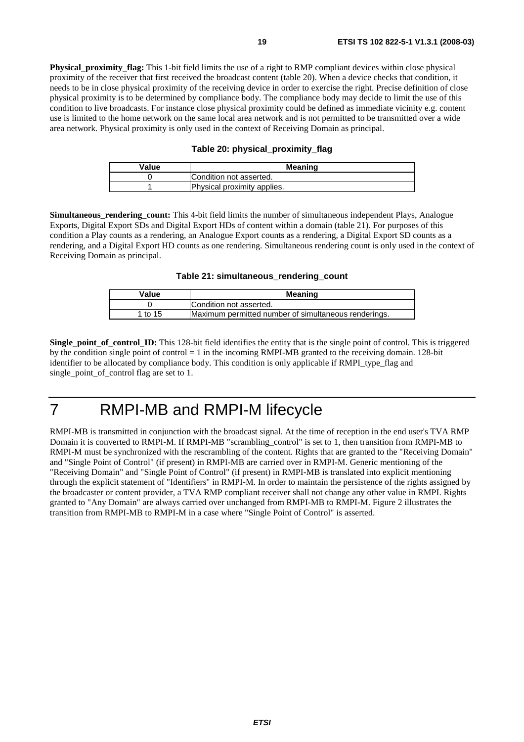**Physical proximity flag:** This 1-bit field limits the use of a right to RMP compliant devices within close physical proximity of the receiver that first received the broadcast content (table 20). When a device checks that condition, it needs to be in close physical proximity of the receiving device in order to exercise the right. Precise definition of close physical proximity is to be determined by compliance body. The compliance body may decide to limit the use of this condition to live broadcasts. For instance close physical proximity could be defined as immediate vicinity e.g. content use is limited to the home network on the same local area network and is not permitted to be transmitted over a wide area network. Physical proximity is only used in the context of Receiving Domain as principal.

#### **Table 20: physical\_proximity\_flag**

| Value | <b>Meaning</b>              |  |
|-------|-----------------------------|--|
|       | Condition not asserted.     |  |
|       | Physical proximity applies. |  |

**Simultaneous rendering count:** This 4-bit field limits the number of simultaneous independent Plays, Analogue Exports, Digital Export SDs and Digital Export HDs of content within a domain (table 21). For purposes of this condition a Play counts as a rendering, an Analogue Export counts as a rendering, a Digital Export SD counts as a rendering, and a Digital Export HD counts as one rendering. Simultaneous rendering count is only used in the context of Receiving Domain as principal.

**Table 21: simultaneous\_rendering\_count**

| Value   | <b>Meaning</b>                                       |
|---------|------------------------------------------------------|
|         | Condition not asserted.                              |
| 1 to 15 | Maximum permitted number of simultaneous renderings. |

**Single\_point\_of\_control\_ID:** This 128-bit field identifies the entity that is the single point of control. This is triggered by the condition single point of control = 1 in the incoming RMPI-MB granted to the receiving domain. 128-bit identifier to be allocated by compliance body. This condition is only applicable if RMPI\_type\_flag and single point of control flag are set to 1.

## 7 RMPI-MB and RMPI-M lifecycle

RMPI-MB is transmitted in conjunction with the broadcast signal. At the time of reception in the end user's TVA RMP Domain it is converted to RMPI-M. If RMPI-MB "scrambling\_control" is set to 1, then transition from RMPI-MB to RMPI-M must be synchronized with the rescrambling of the content. Rights that are granted to the "Receiving Domain" and "Single Point of Control" (if present) in RMPI-MB are carried over in RMPI-M. Generic mentioning of the "Receiving Domain" and "Single Point of Control" (if present) in RMPI-MB is translated into explicit mentioning through the explicit statement of "Identifiers" in RMPI-M. In order to maintain the persistence of the rights assigned by the broadcaster or content provider, a TVA RMP compliant receiver shall not change any other value in RMPI. Rights granted to "Any Domain" are always carried over unchanged from RMPI-MB to RMPI-M. Figure 2 illustrates the transition from RMPI-MB to RMPI-M in a case where "Single Point of Control" is asserted.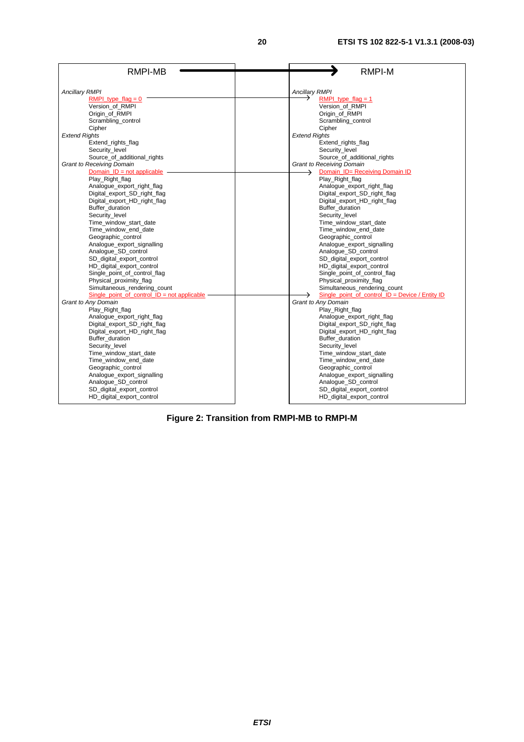| RMPI-MB                                         | <b>RMPI-M</b>                                     |
|-------------------------------------------------|---------------------------------------------------|
|                                                 |                                                   |
| <b>Ancillary RMPI</b>                           | <b>Ancillary RMPI</b>                             |
| RMPI type $flag = 0$                            | RMPI type $flag = 1$                              |
| Version of RMPI                                 | Version of RMPI                                   |
| Origin of RMPI                                  | Origin of RMPI                                    |
| Scrambling_control                              | Scrambling_control                                |
| Cipher                                          | Cipher                                            |
| <b>Extend Rights</b>                            | <b>Extend Rights</b>                              |
| Extend rights flag                              | Extend rights flag                                |
| Security_level                                  | Security_level                                    |
| Source_of_additional_rights                     | Source_of_additional_rights                       |
| <b>Grant to Receiving Domain</b>                | <b>Grant to Receiving Domain</b>                  |
| Domain $ID = not applicable$                    | Domain_ID= Receiving Domain ID<br>→               |
| Play Right flag                                 | Play Right flag                                   |
| Analogue_export_right_flag                      | Analogue_export_right_flag                        |
| Digital export SD right flag                    | Digital export SD right flag                      |
| Digital_export_HD_right_flag<br>Buffer_duration | Digital_export_HD_right_flag<br>Buffer_duration   |
| Security level                                  | Security level                                    |
| Time_window_start_date                          | Time_window_start_date                            |
| Time window end date                            | Time window end date                              |
| Geographic_control                              | Geographic_control                                |
| Analogue_export_signalling                      | Analogue_export_signalling                        |
| Analogue_SD_control                             | Analogue_SD_control                               |
| SD_digital_export_control                       | SD_digital_export_control                         |
| HD digital export control                       | HD digital export control                         |
| Single_point_of_control_flag                    | Single_point_of_control_flag                      |
| Physical_proximity_flag                         | Physical_proximity_flag                           |
| Simultaneous_rendering_count                    | Simultaneous_rendering_count                      |
| Single point of control $ID = not applicable$   | Single point of control $ID = Device / Entity ID$ |
| <b>Grant to Any Domain</b>                      | Grant to Any Domain                               |
| Play_Right_flag                                 | Play_Right_flag                                   |
| Analogue export right flag                      | Analogue_export_right_flag                        |
| Digital_export_SD_right_flag                    | Digital export SD right flag                      |
| Digital_export_HD_right_flag                    | Digital_export_HD_right_flag                      |
| Buffer duration                                 | Buffer duration                                   |
| Security_level                                  | Security level                                    |
| Time_window_start_date                          | Time_window_start_date                            |
| Time window end date                            | Time_window_end_date                              |
| Geographic_control                              | Geographic_control                                |
| Analogue_export_signalling                      | Analogue_export_signalling                        |
| Analogue_SD_control                             | Analogue_SD_control                               |
| SD_digital_export_control                       | SD_digital_export_control                         |
| HD_digital_export_control                       | HD_digital_export_control                         |

**Figure 2: Transition from RMPI-MB to RMPI-M**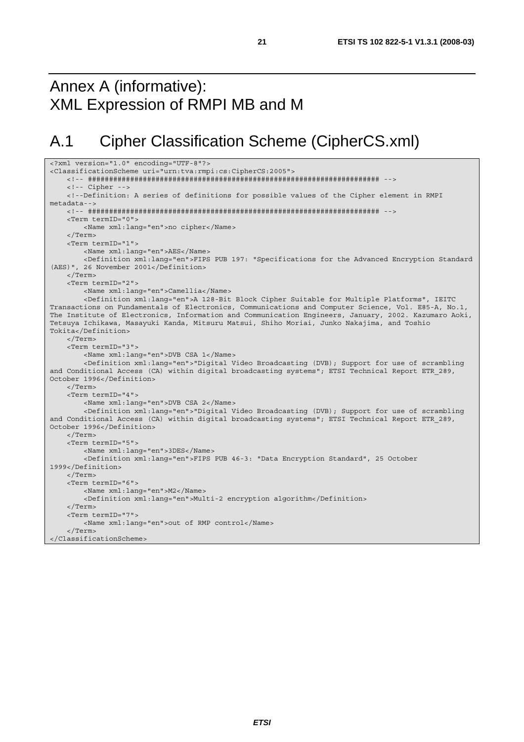## Annex A (informative): XML Expression of RMPI MB and M

## A.1 Cipher Classification Scheme (CipherCS.xml)

```
<?xml version="1.0" encoding="UTF-8"?> 
<ClassificationScheme uri="urn:tva:rmpi:cs:CipherCS:2005"> 
     <!-- ##################################################################### --> 
     <!-- Cipher --> 
     <!--Definition: A series of definitions for possible values of the Cipher element in RMPI 
metadata--> 
     <!-- ##################################################################### --> 
     <Term termID="0"> 
         <Name xml:lang="en">no cipher</Name> 
     </Term> 
     <Term termID="1"> 
         <Name xml:lang="en">AES</Name> 
         <Definition xml:lang="en">FIPS PUB 197: "Specifications for the Advanced Encryption Standard 
(AES)", 26 November 2001</Definition> 
     </Term> 
     <Term termID="2"> 
         <Name xml:lang="en">Camellia</Name> 
         <Definition xml:lang="en">A 128-Bit Block Cipher Suitable for Multiple Platforms", IEITC 
Transactions on Fundamentals of Electronics, Communications and Computer Science, Vol. E85-A, No.1, 
The Institute of Electronics, Information and Communication Engineers, January, 2002. Kazumaro Aoki, 
Tetsuya Ichikawa, Masayuki Kanda, Mitsuru Matsui, Shiho Moriai, Junko Nakajima, and Toshio 
Tokita</Definition> 
     </Term> 
     <Term termID="3"> 
         <Name xml:lang="en">DVB CSA 1</Name> 
         <Definition xml:lang="en">"Digital Video Broadcasting (DVB); Support for use of scrambling 
and Conditional Access (CA) within digital broadcasting systems"; ETSI Technical Report ETR 289,
October 1996</Definition> 
     </Term> 
     <Term termID="4"> 
         <Name xml:lang="en">DVB CSA 2</Name> 
         <Definition xml:lang="en">"Digital Video Broadcasting (DVB); Support for use of scrambling 
and Conditional Access (CA) within digital broadcasting systems"; ETSI Technical Report ETR 289,
October 1996</Definition> 
     </Term> 
     <Term termID="5"> 
         <Name xml:lang="en">3DES</Name> 
         <Definition xml:lang="en">FIPS PUB 46-3: "Data Encryption Standard", 25 October 
1999</Definition> 
     </Term> 
     <Term termID="6"> 
         <Name xml:lang="en">M2</Name> 
         <Definition xml:lang="en">Multi-2 encryption algorithm</Definition> 
     </Term> 
     <Term termID="7"> 
        <Name xml:lang="en">out of RMP control</Name> 
     </Term> 
</ClassificationScheme>
```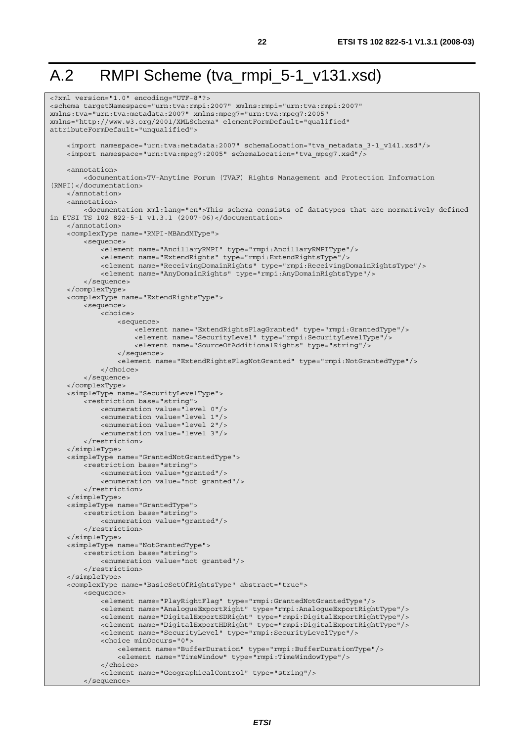## A.2 RMPI Scheme (tva\_rmpi\_5-1\_v131.xsd)

```
<?xml version="1.0" encoding="UTF-8"?> 
<schema targetNamespace="urn:tva:rmpi:2007" xmlns:rmpi="urn:tva:rmpi:2007" 
xmlns:tva="urn:tva:metadata:2007" xmlns:mpeg7="urn:tva:mpeg7:2005" 
xmlns="http://www.w3.org/2001/XMLSchema" elementFormDefault="qualified" 
attributeFormDefault="unqualified"> 
     <import namespace="urn:tva:metadata:2007" schemaLocation="tva_metadata_3-1_v141.xsd"/> 
     <import namespace="urn:tva:mpeg7:2005" schemaLocation="tva_mpeg7.xsd"/> 
     <annotation> 
          <documentation>TV-Anytime Forum (TVAF) Rights Management and Protection Information 
(RMPI)</documentation> 
     </annotation> 
    \tanh\arctan <documentation xml:lang="en">This schema consists of datatypes that are normatively defined 
in ETSI TS 102 822-5-1 v1.3.1 (2007-06)</documentation> 
     </annotation> 
     <complexType name="RMPI-MBAndMType"> 
         <sequence> 
             <element name="AncillaryRMPI" type="rmpi:AncillaryRMPIType"/> 
              <element name="ExtendRights" type="rmpi:ExtendRightsType"/> 
              <element name="ReceivingDomainRights" type="rmpi:ReceivingDomainRightsType"/> 
             <element name="AnyDomainRights" type="rmpi:AnyDomainRightsType"/> 
         </sequence> 
     </complexType> 
     <complexType name="ExtendRightsType"> 
         <sequence> 
             <choice> 
                  <sequence> 
                      <element name="ExtendRightsFlagGranted" type="rmpi:GrantedType"/> 
                      <element name="SecurityLevel" type="rmpi:SecurityLevelType"/> 
                      <element name="SourceOfAdditionalRights" type="string"/> 
                  </sequence> 
                  <element name="ExtendRightsFlagNotGranted" type="rmpi:NotGrantedType"/> 
             </choice> 
         </sequence> 
     </complexType> 
     <simpleType name="SecurityLevelType"> 
         <restriction base="string"> 
             <enumeration value="level 0"/> 
              <enumeration value="level 1"/> 
             <enumeration value="level 2"/> 
             <enumeration value="level 3"/> 
         </restriction> 
     </simpleType> 
     <simpleType name="GrantedNotGrantedType"> 
         <restriction base="string"> 
             <enumeration value="granted"/> 
             <enumeration value="not granted"/> 
         </restriction> 
     </simpleType> 
     <simpleType name="GrantedType"> 
         <restriction base="string"> 
             <enumeration value="granted"/> 
         </restriction> 
     </simpleType> 
     <simpleType name="NotGrantedType"> 
         <restriction base="string"> 
             <enumeration value="not granted"/> 
         </restriction> 
     </simpleType> 
     <complexType name="BasicSetOfRightsType" abstract="true"> 
         <sequence> 
             <element name="PlayRightFlag" type="rmpi:GrantedNotGrantedType"/> 
              <element name="AnalogueExportRight" type="rmpi:AnalogueExportRightType"/> 
              <element name="DigitalExportSDRight" type="rmpi:DigitalExportRightType"/> 
             <element name="DigitalExportHDRight" type="rmpi:DigitalExportRightType"/> 
              <element name="SecurityLevel" type="rmpi:SecurityLevelType"/> 
             <choice minOccurs="0"> 
                  <element name="BufferDuration" type="rmpi:BufferDurationType"/> 
                  <element name="TimeWindow" type="rmpi:TimeWindowType"/> 
              </choice> 
              <element name="GeographicalControl" type="string"/> 
         </sequence>
```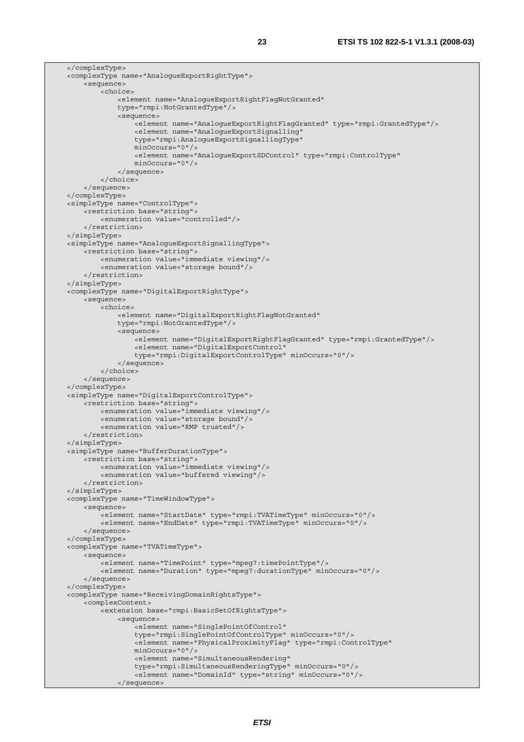</complexType> <complexType name="AnalogueExportRightType"> <sequence> <choice> <element name="AnalogueExportRightFlagNotGranted" type="rmpi:NotGrantedType"/> <sequence> -<br><element name="AnaloqueExportRightFlagGranted" type="rmpi:GrantedType"/> <element name="AnalogueExportSignalling" type="rmpi:AnalogueExportSignallingType" minOccurs="0"/> <element name="AnalogueExportSDControl" type="rmpi:ControlType" minOccurs="0"/> </sequence> </choice> </sequence> </complexType> <simpleType name="ControlType"> <restriction base="string"> <enumeration value="controlled"/> </restriction> </simpleType> <simpleType name="AnalogueExportSignallingType"> <restriction base="string"> <enumeration value="immediate viewing"/> <enumeration value="storage bound"/> </restriction> </simpleType> <complexType name="DigitalExportRightType"> <sequence> <choice> <element name="DigitalExportRightFlagNotGranted" type="rmpi:NotGrantedType"/> <sequence> <element name="DigitalExportRightFlagGranted" type="rmpi:GrantedType"/> <element name="DigitalExportControl" type="rmpi:DigitalExportControlType" minOccurs="0"/> </sequence> </choice> </sequence> </complexType> <simpleType name="DigitalExportControlType"> <restriction base="string"> <enumeration value="immediate viewing"/> <enumeration value="storage bound"/> <enumeration value="RMP trusted"/> </restriction> </simpleType> <simpleType name="BufferDurationType"> <restriction base="string"> <enumeration value="immediate viewing"/> <enumeration value="buffered viewing"/> </restriction> </simpleType> <complexType name="TimeWindowType"> <sequence> <element name="StartDate" type="rmpi:TVATimeType" minOccurs="0"/> <element name="EndDate" type="rmpi:TVATimeType" minOccurs="0"/> </sequence> </complexType> <complexType name="TVATimeType"> <sequence> <element name="TimePoint" type="mpeg7:timePointType"/> <element name="Duration" type="mpeg7:durationType" minOccurs="0"/> </sequence> </complexType> <complexType name="ReceivingDomainRightsType"> <complexContent> <extension base="rmpi:BasicSetOfRightsType"> <sequence> <element name="SinglePointOfControl" type="rmpi:SinglePointOfControlType" minOccurs="0"/> <element name="PhysicalProximityFlag" type="rmpi:ControlType" minOccurs="0"/> <element name="SimultaneousRendering" type="rmpi:SimultaneousRenderingType" minOccurs="0"/> <element name="DomainId" type="string" minOccurs="0"/> </sequence>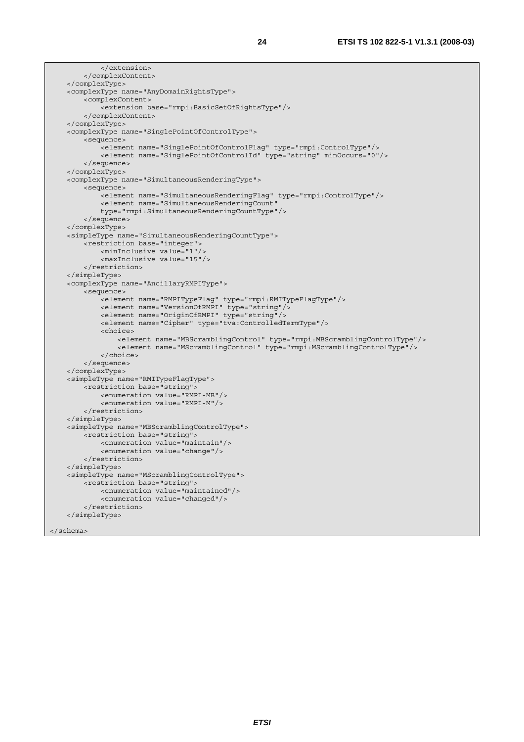```
 </extension> 
     </complexContent> 
 </complexType> 
 <complexType name="AnyDomainRightsType"> 
     <complexContent> 
         <extension base="rmpi:BasicSetOfRightsType"/> 
     </complexContent> 
 </complexType> 
 <complexType name="SinglePointOfControlType"> 
     <sequence> 
         <element name="SinglePointOfControlFlag" type="rmpi:ControlType"/> 
         <element name="SinglePointOfControlId" type="string" minOccurs="0"/> 
     </sequence> 
 </complexType> 
 <complexType name="SimultaneousRenderingType"> 
     <sequence> 
         <element name="SimultaneousRenderingFlag" type="rmpi:ControlType"/> 
         <element name="SimultaneousRenderingCount" 
         type="rmpi:SimultaneousRenderingCountType"/> 
     </sequence> 
 </complexType> 
 <simpleType name="SimultaneousRenderingCountType"> 
     <restriction base="integer"> 
         <minInclusive value="1"/> 
         <maxInclusive value="15"/> 
     </restriction> 
 </simpleType> 
 <complexType name="AncillaryRMPIType"> 
     <sequence> 
         <element name="RMPITypeFlag" type="rmpi:RMITypeFlagType"/> 
         <element name="VersionOfRMPI" type="string"/> 
         <element name="OriginOfRMPI" type="string"/> 
         <element name="Cipher" type="tva:ControlledTermType"/> 
         <choice> 
              <element name="MBScramblingControl" type="rmpi:MBScramblingControlType"/> 
              <element name="MScramblingControl" type="rmpi:MScramblingControlType"/> 
         </choice> 
     </sequence> 
 </complexType> 
 <simpleType name="RMITypeFlagType"> 
    <restriction base="string"
         <enumeration value="RMPI-MB"/> 
         <enumeration value="RMPI-M"/> 
     </restriction> 
 </simpleType> 
 <simpleType name="MBScramblingControlType"> 
     <restriction base="string"> 
         <enumeration value="maintain"/> 
         <enumeration value="change"/> 
     </restriction> 
 </simpleType> 
 <simpleType name="MScramblingControlType"> 
     <restriction base="string"> 
         <enumeration value="maintained"/> 
         <enumeration value="changed"/> 
     </restriction> 
 </simpleType>
```

```
</schema>
```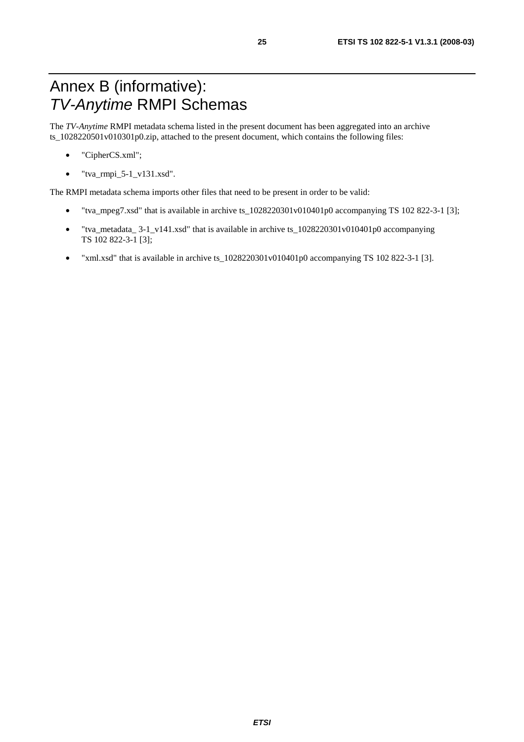## Annex B (informative): *TV-Anytime* RMPI Schemas

The *TV-Anytime* RMPI metadata schema listed in the present document has been aggregated into an archive ts\_1028220501v010301p0.zip, attached to the present document, which contains the following files:

- "CipherCS.xml";
- $\bullet$  "tva\_rmpi\_5-1\_v131.xsd".

The RMPI metadata schema imports other files that need to be present in order to be valid:

- "tva\_mpeg7.xsd" that is available in archive ts  $1028220301v010401p0$  accompanying TS 102 822-3-1 [3];
- "tva\_metadata\_ 3-1\_v141.xsd" that is available in archive ts\_1028220301v010401p0 accompanying TS 102 822-3-1 [3];
- "xml.xsd" that is available in archive ts\_1028220301v010401p0 accompanying TS 102 822-3-1 [3].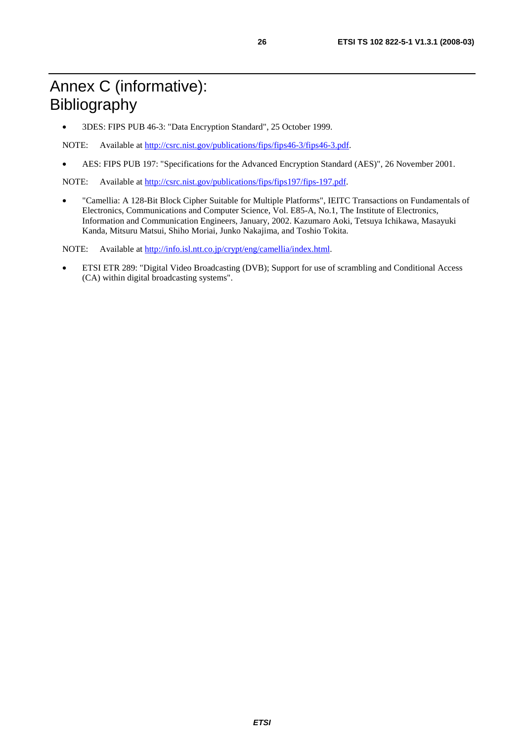• 3DES: FIPS PUB 46-3: "Data Encryption Standard", 25 October 1999.

NOTE: Available at<http://csrc.nist.gov/publications/fips/fips46-3/fips46-3.pdf>.

• AES: FIPS PUB 197: "Specifications for the Advanced Encryption Standard (AES)", 26 November 2001.

NOTE: Available at [http://csrc.nist.gov/publications/fips/fips197/fips-197.pdf.](http://csrc.nist.gov/publications/fips/fips197/fips-197.pdf)

• "Camellia: A 128-Bit Block Cipher Suitable for Multiple Platforms", IEITC Transactions on Fundamentals of Electronics, Communications and Computer Science, Vol. E85-A, No.1, The Institute of Electronics, Information and Communication Engineers, January, 2002. Kazumaro Aoki, Tetsuya Ichikawa, Masayuki Kanda, Mitsuru Matsui, Shiho Moriai, Junko Nakajima, and Toshio Tokita.

NOTE: Available at [http://info.isl.ntt.co.jp/crypt/eng/camellia/index.html.](http://info.isl.ntt.co.jp/crypt/eng/camellia/index.html)

• ETSI ETR 289: "Digital Video Broadcasting (DVB); Support for use of scrambling and Conditional Access (CA) within digital broadcasting systems".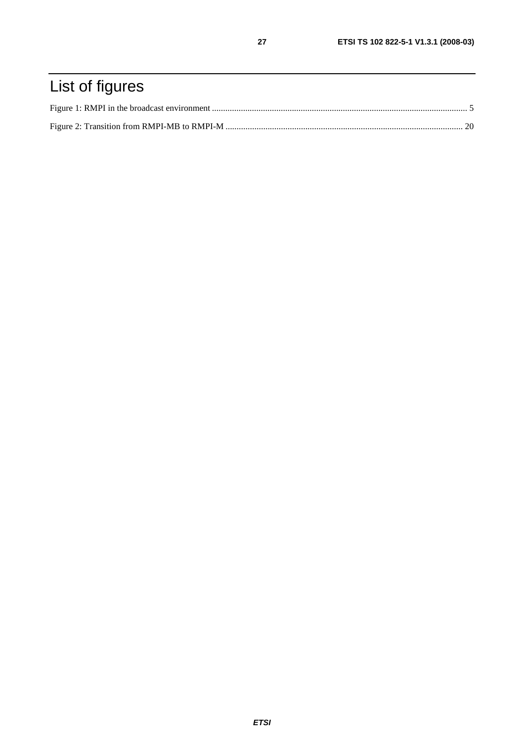## List of figures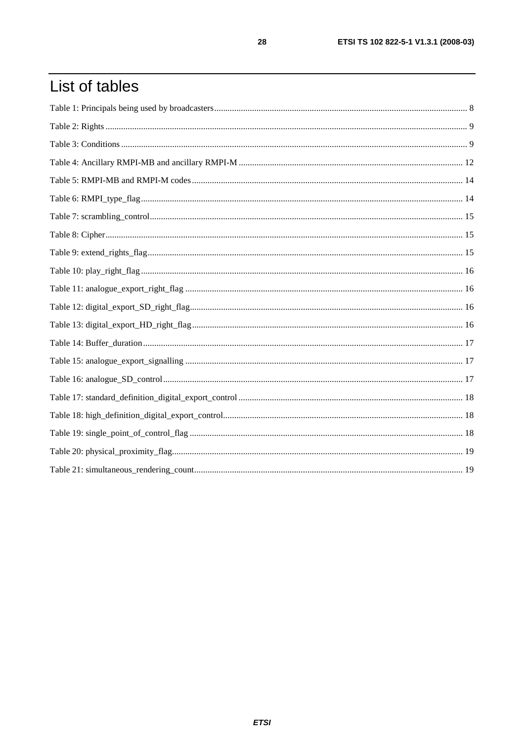## List of tables